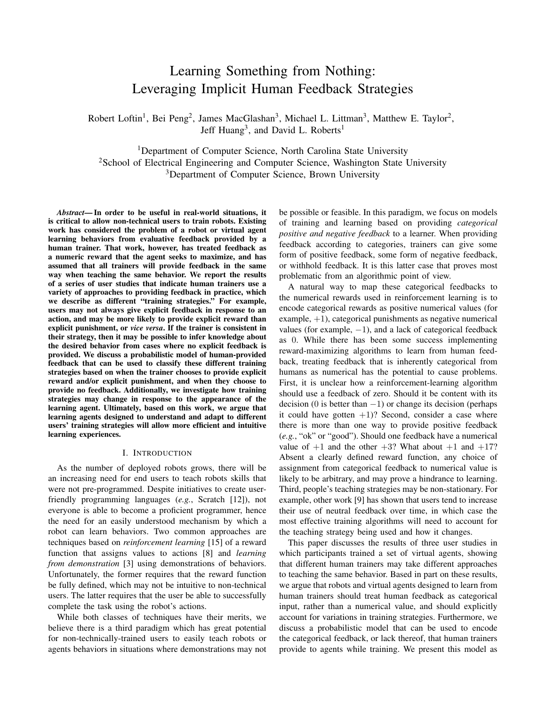# Learning Something from Nothing: Leveraging Implicit Human Feedback Strategies

Robert Loftin<sup>1</sup>, Bei Peng<sup>2</sup>, James MacGlashan<sup>3</sup>, Michael L. Littman<sup>3</sup>, Matthew E. Taylor<sup>2</sup>, Jeff Huang<sup>3</sup>, and David L. Roberts<sup>1</sup>

<sup>1</sup>Department of Computer Science, North Carolina State University <sup>2</sup>School of Electrical Engineering and Computer Science, Washington State University <sup>3</sup>Department of Computer Science, Brown University

Abstract—In order to be useful in real-world situations, it is critical to allow non-technical users to train robots. Existing work has considered the problem of a robot or virtual agent learning behaviors from evaluative feedback provided by a human trainer. That work, however, has treated feedback as a numeric reward that the agent seeks to maximize, and has assumed that all trainers will provide feedback in the same way when teaching the same behavior. We report the results of a series of user studies that indicate human trainers use a variety of approaches to providing feedback in practice, which we describe as different "training strategies." For example, users may not always give explicit feedback in response to an action, and may be more likely to provide explicit reward than explicit punishment, or vice versa. If the trainer is consistent in their strategy, then it may be possible to infer knowledge about the desired behavior from cases where no explicit feedback is provided. We discuss a probabilistic model of human-provided feedback that can be used to classify these different training strategies based on when the trainer chooses to provide explicit reward and/or explicit punishment, and when they choose to provide no feedback. Additionally, we investigate how training strategies may change in response to the appearance of the learning agent. Ultimately, based on this work, we argue that learning agents designed to understand and adapt to different users' training strategies will allow more efficient and intuitive learning experiences.

#### I. INTRODUCTION

As the number of deployed robots grows, there will be an increasing need for end users to teach robots skills that were not pre-programmed. Despite initiatives to create userfriendly programming languages (e.g., Scratch [12]), not everyone is able to become a proficient programmer, hence the need for an easily understood mechanism by which a robot can learn behaviors. Two common approaches are techniques based on *reinforcement learning* [15] of a reward function that assigns values to actions [8] and *learning* from demonstration [3] using demonstrations of behaviors. Unfortunately, the former requires that the reward function be fully defined, which may not be intuitive to non-technical users. The latter requires that the user be able to successfully complete the task using the robot's actions.

While both classes of techniques have their merits, we believe there is a third paradigm which has great potential for non-technically-trained users to easily teach robots or agents behaviors in situations where demonstrations may not be possible or feasible. In this paradigm, we focus on models of training and learning based on providing *categorical* positive and negative feedback to a learner. When providing feedback according to categories, trainers can give some form of positive feedback, some form of negative feedback, or withhold feedback. It is this latter case that proves most problematic from an algorithmic point of view.

A natural way to map these categorical feedbacks to the numerical rewards used in reinforcement learning is to encode categorical rewards as positive numerical values (for example,  $+1$ ), categorical punishments as negative numerical values (for example,  $-1$ ), and a lack of categorical feedback as 0. While there has been some success implementing reward-maximizing algorithms to learn from human feedback, treating feedback that is inherently categorical from humans as numerical has the potential to cause problems. First, it is unclear how a reinforcement-learning algorithm should use a feedback of zero. Should it be content with its decision (0 is better than  $-1$ ) or change its decision (perhaps it could have gotten  $+1$ ? Second, consider a case where there is more than one way to provide positive feedback (e.g., "ok" or "good"). Should one feedback have a numerical value of  $+1$  and the other  $+3$ ? What about  $+1$  and  $+17$ ? Absent a clearly defined reward function, any choice of assignment from categorical feedback to numerical value is likely to be arbitrary, and may prove a hindrance to learning. Third, people's teaching strategies may be non-stationary. For example, other work [9] has shown that users tend to increase their use of neutral feedback over time, in which case the most effective training algorithms will need to account for the teaching strategy being used and how it changes.

This paper discusses the results of three user studies in which participants trained a set of virtual agents, showing that different human trainers may take different approaches to teaching the same behavior. Based in part on these results, we argue that robots and virtual agents designed to learn from human trainers should treat human feedback as categorical input, rather than a numerical value, and should explicitly account for variations in training strategies. Furthermore, we discuss a probabilistic model that can be used to encode the categorical feedback, or lack thereof, that human trainers provide to agents while training. We present this model as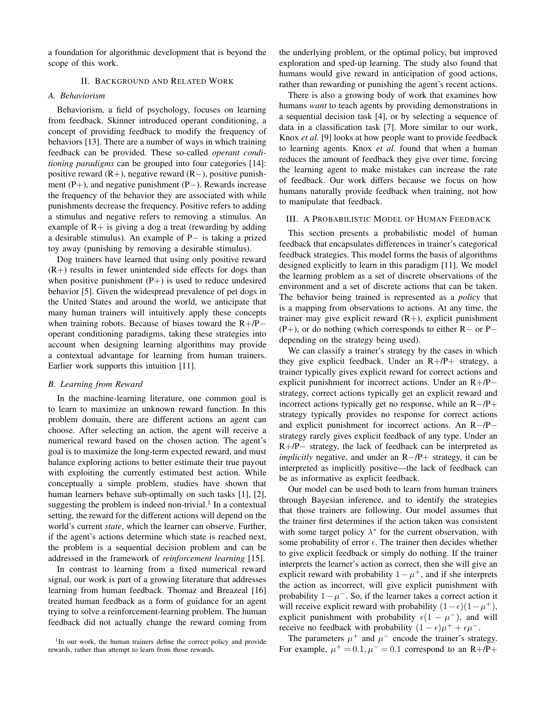a foundation for algorithmic development that is beyond the scope of this work.

#### **II. BACKGROUND AND RELATED WORK**

#### A. Behaviorism

Behaviorism, a field of psychology, focuses on learning from feedback. Skinner introduced operant conditioning, a concept of providing feedback to modify the frequency of behaviors [13]. There are a number of ways in which training feedback can be provided. These so-called *operant conditioning paradigms* can be grouped into four categories [14]: positive reward  $(R+)$ , negative reward  $(R-)$ , positive punishment  $(P+)$ , and negative punishment  $(P-)$ . Rewards increase the frequency of the behavior they are associated with while punishments decrease the frequency. Positive refers to adding a stimulus and negative refers to removing a stimulus. An example of  $R$ + is giving a dog a treat (rewarding by adding a desirable stimulus). An example of  $P-$  is taking a prized toy away (punishing by removing a desirable stimulus).

Dog trainers have learned that using only positive reward  $(R+)$  results in fewer unintended side effects for dogs than when positive punishment  $(P+)$  is used to reduce undesired behavior [5]. Given the widespread prevalence of pet dogs in the United States and around the world, we anticipate that many human trainers will intuitively apply these concepts when training robots. Because of biases toward the  $R + /P$ operant conditioning paradigms, taking these strategies into account when designing learning algorithms may provide a contextual advantage for learning from human trainers. Earlier work supports this intuition [11].

# **B.** Learning from Reward

In the machine-learning literature, one common goal is to learn to maximize an unknown reward function. In this problem domain, there are different actions an agent can choose. After selecting an action, the agent will receive a numerical reward based on the chosen action. The agent's goal is to maximize the long-term expected reward, and must balance exploring actions to better estimate their true payout with exploiting the currently estimated best action. While conceptually a simple problem, studies have shown that human learners behave sub-optimally on such tasks [1], [2], suggesting the problem is indeed non-trivial.<sup>1</sup> In a contextual setting, the reward for the different actions will depend on the world's current *state*, which the learner can observe. Further, if the agent's actions determine which state is reached next, the problem is a sequential decision problem and can be addressed in the framework of reinforcement learning [15].

In contrast to learning from a fixed numerical reward signal, our work is part of a growing literature that addresses learning from human feedback. Thomaz and Breazeal [16] treated human feedback as a form of guidance for an agent trying to solve a reinforcement-learning problem. The human feedback did not actually change the reward coming from

the underlying problem, or the optimal policy, but improved exploration and sped-up learning. The study also found that humans would give reward in anticipation of good actions, rather than rewarding or punishing the agent's recent actions.

There is also a growing body of work that examines how humans want to teach agents by providing demonstrations in a sequential decision task [4], or by selecting a sequence of data in a classification task [7]. More similar to our work, Knox et al. [9] looks at how people want to provide feedback to learning agents. Knox et al. found that when a human reduces the amount of feedback they give over time, forcing the learning agent to make mistakes can increase the rate of feedback. Our work differs because we focus on how humans naturally provide feedback when training, not how to manipulate that feedback.

## III. A PROBABILISTIC MODEL OF HUMAN FEEDBACK

This section presents a probabilistic model of human feedback that encapsulates differences in trainer's categorical feedback strategies. This model forms the basis of algorithms designed explicitly to learn in this paradigm [11]. We model the learning problem as a set of discrete observations of the environment and a set of discrete actions that can be taken. The behavior being trained is represented as a *policy* that is a mapping from observations to actions. At any time, the trainer may give explicit reward  $(R+)$ , explicit punishment  $(P+)$ , or do nothing (which corresponds to either R- or Pdepending on the strategy being used).

We can classify a trainer's strategy by the cases in which they give explicit feedback. Under an  $R+ / P+$  strategy, a trainer typically gives explicit reward for correct actions and explicit punishment for incorrect actions. Under an  $R+/P$ strategy, correct actions typically get an explicit reward and incorrect actions typically get no response, while an  $R - /P$ + strategy typically provides no response for correct actions and explicit punishment for incorrect actions. An  $R - /P$ strategy rarely gives explicit feedback of any type. Under an  $R + /P -$  strategy, the lack of feedback can be interpreted as *implicitly* negative, and under an  $R - /P$  strategy, it can be interpreted as implicitly positive—the lack of feedback can be as informative as explicit feedback.

Our model can be used both to learn from human trainers through Bayesian inference, and to identify the strategies that those trainers are following. Our model assumes that the trainer first determines if the action taken was consistent with some target policy  $\lambda^*$  for the current observation, with some probability of error  $\epsilon$ . The trainer then decides whether to give explicit feedback or simply do nothing. If the trainer interprets the learner's action as correct, then she will give an explicit reward with probability  $1 - \mu^{+}$ , and if she interprets the action as incorrect, will give explicit punishment with probability  $1 - \mu^{-}$ . So, if the learner takes a correct action it will receive explicit reward with probability  $(1 - \epsilon)(1 - \mu^+),$ explicit punishment with probability  $\epsilon(1 - \mu^{-})$ , and will receive no feedback with probability  $(1 - \epsilon)\mu^{+} + \epsilon \mu^{-}$ .

The parameters  $\mu^+$  and  $\mu^-$  encode the trainer's strategy. For example,  $\mu^+ = 0.1$ ,  $\mu^- = 0.1$  correspond to an R+/P+

<sup>&</sup>lt;sup>1</sup>In our work, the human trainers define the correct policy and provide rewards, rather than attempt to learn from those rewards.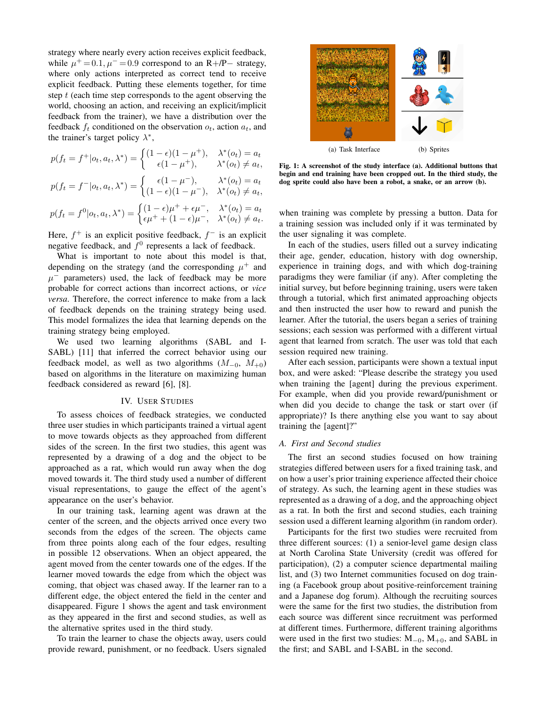strategy where nearly every action receives explicit feedback, while  $\mu^+ = 0.1$ ,  $\mu^- = 0.9$  correspond to an R+/P- strategy, where only actions interpreted as correct tend to receive explicit feedback. Putting these elements together, for time step  $t$  (each time step corresponds to the agent observing the world, choosing an action, and receiving an explicit/implicit feedback from the trainer), we have a distribution over the feedback  $f_t$  conditioned on the observation  $o_t$ , action  $a_t$ , and the trainer's target policy  $\lambda^*$ ,

$$
p(f_t = f^+|o_t, a_t, \lambda^*) = \begin{cases} (1 - \epsilon)(1 - \mu^+), & \lambda^*(o_t) = a_t \\ \epsilon(1 - \mu^+), & \lambda^*(o_t) \neq a_t, \end{cases}
$$

$$
p(f_t = f^-|o_t, a_t, \lambda^*) = \begin{cases} \epsilon(1 - \mu^-), & \lambda^*(o_t) = a_t \\ (1 - \epsilon)(1 - \mu^-), & \lambda^*(o_t) \neq a_t, \end{cases}
$$

$$
p(f_t = f^0 | o_t, a_t, \lambda^*) = \begin{cases} (1 - \epsilon)\mu^+ + \epsilon \mu^-, & \lambda^*(o_t) = a_t \\ \epsilon \mu^+ + (1 - \epsilon)\mu^-, & \lambda^*(o_t) \neq a_t. \end{cases}
$$

Here,  $f^+$  is an explicit positive feedback,  $f^-$  is an explicit negative feedback, and  $f^0$  represents a lack of feedback.

What is important to note about this model is that, depending on the strategy (and the corresponding  $\mu^+$  and  $\mu^-$  parameters) used, the lack of feedback may be more probable for correct actions than incorrect actions, or vice versa. Therefore, the correct inference to make from a lack of feedback depends on the training strategy being used. This model formalizes the idea that learning depends on the training strategy being employed.

We used two learning algorithms (SABL and I-SABL) [11] that inferred the correct behavior using our feedback model, as well as two algorithms  $(M_{-0}, M_{+0})$ based on algorithms in the literature on maximizing human feedback considered as reward [6], [8].

## **IV. USER STUDIES**

To assess choices of feedback strategies, we conducted three user studies in which participants trained a virtual agent to move towards objects as they approached from different sides of the screen. In the first two studies, this agent was represented by a drawing of a dog and the object to be approached as a rat, which would run away when the dog moved towards it. The third study used a number of different visual representations, to gauge the effect of the agent's appearance on the user's behavior.

In our training task, learning agent was drawn at the center of the screen, and the objects arrived once every two seconds from the edges of the screen. The objects came from three points along each of the four edges, resulting in possible 12 observations. When an object appeared, the agent moved from the center towards one of the edges. If the learner moved towards the edge from which the object was coming, that object was chased away. If the learner ran to a different edge, the object entered the field in the center and disappeared. Figure 1 shows the agent and task environment as they appeared in the first and second studies, as well as the alternative sprites used in the third study.

To train the learner to chase the objects away, users could provide reward, punishment, or no feedback. Users signaled



Fig. 1: A screenshot of the study interface (a). Additional buttons that begin and end training have been cropped out. In the third study, the dog sprite could also have been a robot, a snake, or an arrow (b).

when training was complete by pressing a button. Data for a training session was included only if it was terminated by the user signaling it was complete.

In each of the studies, users filled out a survey indicating their age, gender, education, history with dog ownership, experience in training dogs, and with which dog-training paradigms they were familiar (if any). After completing the initial survey, but before beginning training, users were taken through a tutorial, which first animated approaching objects and then instructed the user how to reward and punish the learner. After the tutorial, the users began a series of training sessions; each session was performed with a different virtual agent that learned from scratch. The user was told that each session required new training.

After each session, participants were shown a textual input box, and were asked: "Please describe the strategy you used when training the [agent] during the previous experiment. For example, when did you provide reward/punishment or when did you decide to change the task or start over (if appropriate)? Is there anything else you want to say about training the [agent]?"

#### A. First and Second studies

The first an second studies focused on how training strategies differed between users for a fixed training task, and on how a user's prior training experience affected their choice of strategy. As such, the learning agent in these studies was represented as a drawing of a dog, and the approaching object as a rat. In both the first and second studies, each training session used a different learning algorithm (in random order).

Participants for the first two studies were recruited from three different sources: (1) a senior-level game design class at North Carolina State University (credit was offered for participation), (2) a computer science departmental mailing list, and (3) two Internet communities focused on dog training (a Facebook group about positive-reinforcement training and a Japanese dog forum). Although the recruiting sources were the same for the first two studies, the distribution from each source was different since recruitment was performed at different times. Furthermore, different training algorithms were used in the first two studies:  $M_{-0}$ ,  $M_{+0}$ , and SABL in the first; and SABL and I-SABL in the second.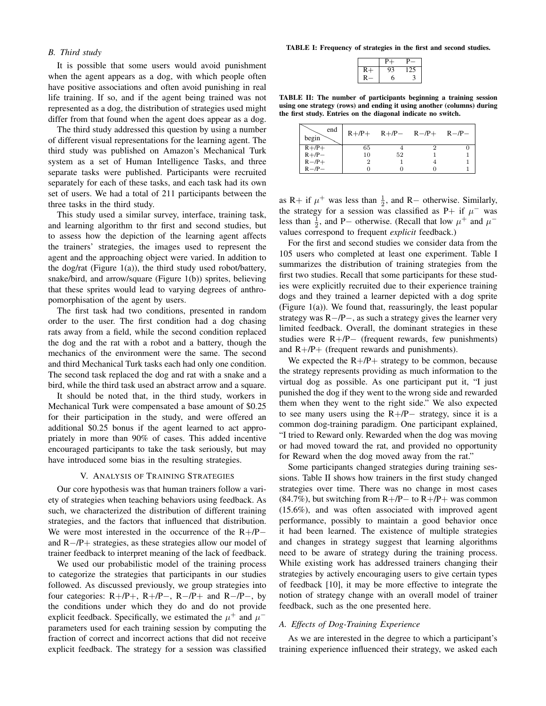# **B.** Third study

It is possible that some users would avoid punishment when the agent appears as a dog, with which people often have positive associations and often avoid punishing in real life training. If so, and if the agent being trained was not represented as a dog, the distribution of strategies used might differ from that found when the agent does appear as a dog.

The third study addressed this question by using a number of different visual representations for the learning agent. The third study was published on Amazon's Mechanical Turk system as a set of Human Intelligence Tasks, and three separate tasks were published. Participants were recruited separately for each of these tasks, and each task had its own set of users. We had a total of 211 participants between the three tasks in the third study.

This study used a similar survey, interface, training task, and learning algorithm to thr first and second studies, but to assess how the depiction of the learning agent affects the trainers' strategies, the images used to represent the agent and the approaching object were varied. In addition to the dog/rat (Figure 1(a)), the third study used robot/battery, snake/bird, and arrow/square (Figure 1(b)) sprites, believing that these sprites would lead to varying degrees of anthropomorphisation of the agent by users.

The first task had two conditions, presented in random order to the user. The first condition had a dog chasing rats away from a field, while the second condition replaced the dog and the rat with a robot and a battery, though the mechanics of the environment were the same. The second and third Mechanical Turk tasks each had only one condition. The second task replaced the dog and rat with a snake and a bird, while the third task used an abstract arrow and a square.

It should be noted that, in the third study, workers in Mechanical Turk were compensated a base amount of \$0.25 for their participation in the study, and were offered an additional \$0.25 bonus if the agent learned to act appropriately in more than 90% of cases. This added incentive encouraged participants to take the task seriously, but may have introduced some bias in the resulting strategies.

## V. ANALYSIS OF TRAINING STRATEGIES

Our core hypothesis was that human trainers follow a variety of strategies when teaching behaviors using feedback. As such, we characterized the distribution of different training strategies, and the factors that influenced that distribution. We were most interested in the occurrence of the  $R+$ /P $$ and  $R - /P$  + strategies, as these strategies allow our model of trainer feedback to interpret meaning of the lack of feedback.

We used our probabilistic model of the training process to categorize the strategies that participants in our studies followed. As discussed previously, we group strategies into four categories:  $R+/P+$ ,  $R+/P-$ ,  $R-/P+$  and  $R-/P-$ , by the conditions under which they do and do not provide explicit feedback. Specifically, we estimated the  $\mu^+$  and  $\mu^$ parameters used for each training session by computing the fraction of correct and incorrect actions that did not receive explicit feedback. The strategy for a session was classified

TABLE I: Frequency of strategies in the first and second studies.

| ., |  |
|----|--|
|    |  |

TABLE II: The number of participants beginning a training session using one strategy (rows) and ending it using another (columns) during the first study. Entries on the diagonal indicate no switch.

| end<br>begin | $R + /P +$ |    | $R+$ /P- $R-$ /P+ $R-$ /P- |  |
|--------------|------------|----|----------------------------|--|
| $R + /P +$   | 65         |    |                            |  |
| $R+$ / $P-$  | 10         | 52 |                            |  |
| $R - /P +$   | 2          |    |                            |  |
| $R - /P -$   |            |    |                            |  |

as R+ if  $\mu^+$  was less than  $\frac{1}{2}$ , and R- otherwise. Similarly, the strategy for a session was classified as P+ if  $\mu$ <sup>-</sup> was less than  $\frac{1}{2}$ , and P- otherwise. (Recall that low  $\mu^+$  and  $\mu^$ values correspond to frequent *explicit* feedback.)

For the first and second studies we consider data from the 105 users who completed at least one experiment. Table I summarizes the distribution of training strategies from the first two studies. Recall that some participants for these studies were explicitly recruited due to their experience training dogs and they trained a learner depicted with a dog sprite (Figure  $1(a)$ ). We found that, reassuringly, the least popular strategy was  $R - /P -$ , as such a strategy gives the learner very limited feedback. Overall, the dominant strategies in these studies were  $R+ / P-$  (frequent rewards, few punishments) and  $R+/P+$  (frequent rewards and punishments).

We expected the  $R+/P+$  strategy to be common, because the strategy represents providing as much information to the virtual dog as possible. As one participant put it, "I just punished the dog if they went to the wrong side and rewarded them when they went to the right side." We also expected to see many users using the  $R+/P-$  strategy, since it is a common dog-training paradigm. One participant explained, "I tried to Reward only. Rewarded when the dog was moving or had moved toward the rat, and provided no opportunity for Reward when the dog moved away from the rat."

Some participants changed strategies during training sessions. Table II shows how trainers in the first study changed strategies over time. There was no change in most cases (84.7%), but switching from  $R+ / P-$  to  $R+ / P+$  was common  $(15.6\%)$ , and was often associated with improved agent performance, possibly to maintain a good behavior once it had been learned. The existence of multiple strategies and changes in strategy suggest that learning algorithms need to be aware of strategy during the training process. While existing work has addressed trainers changing their strategies by actively encouraging users to give certain types of feedback [10], it may be more effective to integrate the notion of strategy change with an overall model of trainer feedback, such as the one presented here.

### A. Effects of Dog-Training Experience

As we are interested in the degree to which a participant's training experience influenced their strategy, we asked each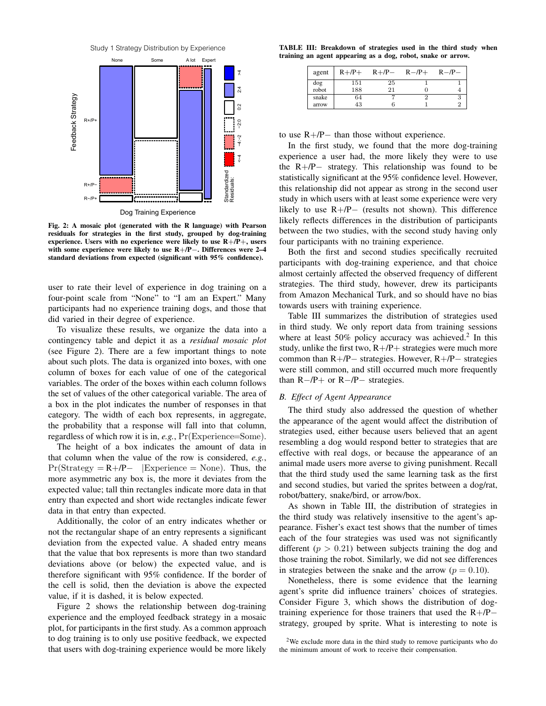

Fig. 2: A mosaic plot (generated with the R language) with Pearson residuals for strategies in the first study, grouped by dog-training experience. Users with no experience were likely to use  $R+ / P+$ , users with some experience were likely to use  $R + / P -$ . Differences were 2-4 standard deviations from expected (significant with 95% confidence).

user to rate their level of experience in dog training on a four-point scale from "None" to "I am an Expert." Many participants had no experience training dogs, and those that did varied in their degree of experience.

To visualize these results, we organize the data into a contingency table and depict it as a *residual mosaic plot* (see Figure 2). There are a few important things to note about such plots. The data is organized into boxes, with one column of boxes for each value of one of the categorical variables. The order of the boxes within each column follows the set of values of the other categorical variable. The area of a box in the plot indicates the number of responses in that category. The width of each box represents, in aggregate, the probability that a response will fall into that column, regardless of which row it is in, e.g.,  $Pr(\text{Experience}=Some)$ .

The height of a box indicates the amount of data in that column when the value of the row is considered,  $e.g.,$  $Pr(\text{Strategy} = R + / P - | \text{Experience} = \text{None}).$  Thus, the more asymmetric any box is, the more it deviates from the expected value; tall thin rectangles indicate more data in that entry than expected and short wide rectangles indicate fewer data in that entry than expected.

Additionally, the color of an entry indicates whether or not the rectangular shape of an entry represents a significant deviation from the expected value. A shaded entry means that the value that box represents is more than two standard deviations above (or below) the expected value, and is therefore significant with 95% confidence. If the border of the cell is solid, then the deviation is above the expected value, if it is dashed, it is below expected.

Figure 2 shows the relationship between dog-training experience and the employed feedback strategy in a mosaic plot, for participants in the first study. As a common approach to dog training is to only use positive feedback, we expected that users with dog-training experience would be more likely

TABLE III: Breakdown of strategies used in the third study when training an agent appearing as a dog, robot, snake or arrow.

| agent | $R + /P +$ | $R+/P-$ | $R - /P +$ | $R - /P -$ |
|-------|------------|---------|------------|------------|
| dog   | 151        | 25      |            |            |
| robot | 188        | 21      |            |            |
| snake | 64         |         | 2          |            |
| arrow | 43         |         |            |            |

# to use  $R + /P -$  than those without experience.

In the first study, we found that the more dog-training experience a user had, the more likely they were to use the  $R+$ / $P-$  strategy. This relationship was found to be statistically significant at the 95% confidence level. However, this relationship did not appear as strong in the second user study in which users with at least some experience were very likely to use  $R+$ /P – (results not shown). This difference likely reflects differences in the distribution of participants between the two studies, with the second study having only four participants with no training experience.

Both the first and second studies specifically recruited participants with dog-training experience, and that choice almost certainly affected the observed frequency of different strategies. The third study, however, drew its participants from Amazon Mechanical Turk, and so should have no bias towards users with training experience.

Table III summarizes the distribution of strategies used in third study. We only report data from training sessions where at least 50% policy accuracy was achieved.<sup>2</sup> In this study, unlike the first two,  $R + /P +$  strategies were much more common than  $R+$ /P – strategies. However,  $R+$ /P – strategies were still common, and still occurred much more frequently than  $R - /P +$  or  $R - /P -$  strategies.

## **B.** Effect of Agent Appearance

The third study also addressed the question of whether the appearance of the agent would affect the distribution of strategies used, either because users believed that an agent resembling a dog would respond better to strategies that are effective with real dogs, or because the appearance of an animal made users more averse to giving punishment. Recall that the third study used the same learning task as the first and second studies, but varied the sprites between a dog/rat, robot/battery, snake/bird, or arrow/box.

As shown in Table III, the distribution of strategies in the third study was relatively insensitive to the agent's appearance. Fisher's exact test shows that the number of times each of the four strategies was used was not significantly different ( $p > 0.21$ ) between subjects training the dog and those training the robot. Similarly, we did not see differences in strategies between the snake and the arrow ( $p = 0.10$ ).

Nonetheless, there is some evidence that the learning agent's sprite did influence trainers' choices of strategies. Consider Figure 3, which shows the distribution of dogtraining experience for those trainers that used the  $R+$ /P $$ strategy, grouped by sprite. What is interesting to note is

 $2$ We exclude more data in the third study to remove participants who do the minimum amount of work to receive their compensation.